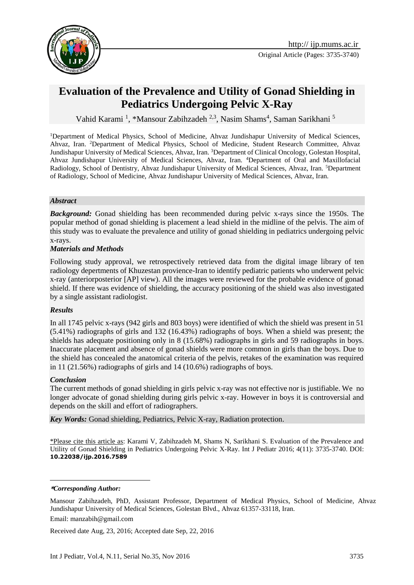



# **Evaluation of the Prevalence and Utility of Gonad Shielding in Pediatrics Undergoing Pelvic X-Ray**

Vahid Karami<sup>1</sup>, \*Mansour Zabihzadeh<sup>2,3</sup>, Nasim Shams<sup>4</sup>, Saman Sarikhani<sup>5</sup>

<sup>1</sup>Department of Medical Physics, School of Medicine, Ahvaz Jundishapur University of Medical Sciences, Ahvaz, Iran. <sup>2</sup>Department of Medical Physics, School of Medicine, Student Research Committee, Ahvaz Jundishapur University of Medical Sciences, Ahvaz, Iran. <sup>3</sup>Department of Clinical Oncology, Golestan Hospital, Ahvaz Jundishapur University of Medical Sciences, Ahvaz, Iran. <sup>4</sup>Department of Oral and Maxillofacial Radiology, School of Dentistry, Ahvaz Jundishapur University of Medical Sciences, Ahvaz, Iran. <sup>5</sup>Department of Radiology, School of Medicine, Ahvaz Jundishapur University of Medical Sciences, Ahvaz, Iran.

### *Abstract*

*Background:* Gonad shielding has been recommended during pelvic x-rays since the 1950s. The popular method of gonad shielding is placement a lead shield in the midline of the pelvis. The aim of this study was to evaluate the prevalence and utility of gonad shielding in pediatrics undergoing pelvic x-rays.

### *Materials and Methods*

Following study approval, we retrospectively retrieved data from the digital image library of ten radiology depertments of Khuzestan provience-Iran to identify pediatric patients who underwent pelvic x-ray (anteriorposterior [AP] view). All the images were reviewed for the probable evidence of gonad shield. If there was evidence of shielding, the accuracy positioning of the shield was also investigated by a single assistant radiologist.

### *Results*

In all 1745 pelvic x-rays (942 girls and 803 boys) were identified of which the shield was present in 51 (5.41%) radiographs of girls and 132 (16.43%) radiographs of boys. When a shield was present; the shields has adequate positioning only in 8 (15.68%) radiographs in girls and 59 radiographs in boys. Inaccurate placement and absence of gonad shields were more common in girls than the boys. Due to the shield has concealed the anatomical criteria of the pelvis, retakes of the examination was required in 11 (21.56%) radiographs of girls and 14 (10.6%) radiographs of boys.

### *Conclusion*

The current methods of gonad shielding in girls pelvic x-ray was not effective nor is justifiable. We no longer advocate of gonad shielding during girls pelvic x-ray. However in boys it is controversial and depends on the skill and effort of radiographers.

*Key Words:* [Gonad shielding,](http://ijp.mums.ac.ir/?_action=article&kw=20249&_kw=Gonad+shielding) Pediatrics, [Pelvic X-ray,](http://ijp.mums.ac.ir/?_action=article&kw=20250&_kw=Pelvic+radiography) [Radiation protection.](http://ijp.mums.ac.ir/?_action=article&kw=5019&_kw=Radiation+protection)

\*Please cite this article as: Karami V, Zabihzadeh M, Shams N, Sarikhani S. Evaluation of the Prevalence and Utility of Gonad Shielding in Pediatrics Undergoing Pelvic X-Ray. Int J Pediatr 2016; 4(11): 3735-3740. DOI: **10.22038/ijp.2016.7589**

#### **\****Corresponding Author:*

1

Received date Aug, 23, 2016; Accepted date Sep, 22, 2016

Mansour Zabihzadeh, PhD, Assistant Professor, Department of Medical Physics, School of Medicine, Ahvaz Jundishapur University of Medical Sciences, Golestan Blvd., Ahvaz 61357-33118, Iran. Email: [manzabih@gmail.com](mailto:manzabih@gmail.com)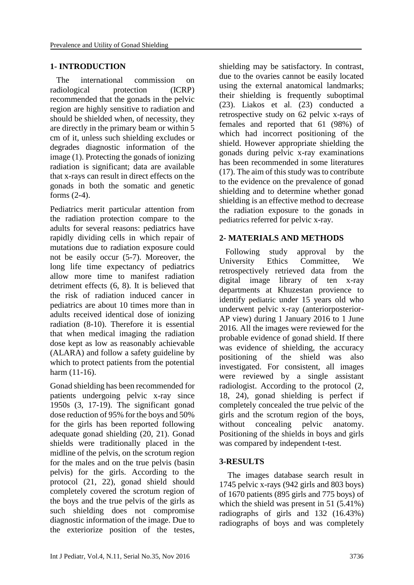# **1- INTRODUCTION**

 The international commission on radiological protection (ICRP) recommended that the gonads in the pelvic region are highly sensitive to radiation and should be shielded when, of necessity, they are directly in the primary beam or within 5 cm of it, unless such shielding excludes or degrades diagnostic information of the image [\(1\)](#page-4-0). Protecting the gonads of ionizing radiation is significant; data are available that x-rays can result in direct effects on the gonads in both the somatic and genetic forms [\(2-4\)](#page-4-1).

Pediatrics merit particular attention from the radiation protection compare to the adults for several reasons: pediatrics have rapidly dividing cells in which repair of mutations due to radiation exposure could not be easily occur [\(5-7\)](#page-4-2). Moreover, the long life time expectancy of pediatrics allow more time to manifest radiation detriment effects [\(6,](#page-4-3) [8\)](#page-4-4). It is believed that the risk of radiation induced cancer in pediatrics are about 10 times more than in adults received identical dose of ionizing radiation [\(8-10\)](#page-4-4). Therefore it is essential that when medical imaging the radiation dose kept as low as reasonably achievable (ALARA) and follow a safety guideline by which to protect patients from the potential harm [\(11-16\)](#page-4-5).

Gonad shielding has been recommended for patients undergoing pelvic x-ray since 1950s [\(3,](#page-4-6) [17-19\)](#page-5-0). The significant gonad dose reduction of 95% for the boys and 50% for the girls has been reported following adequate gonad shielding [\(20,](#page-5-1) [21\)](#page-5-2). Gonad shields were traditionally placed in the midline of the pelvis, on the scrotum region for the males and on the true pelvis (basin pelvis) for the girls. According to the protocol [\(21,](#page-5-2) [22\)](#page-5-3), gonad shield should completely covered the scrotum region of the boys and the true pelvis of the girls as such shielding does not compromise diagnostic information of the image. Due to the exteriorize position of the testes, shielding may be satisfactory. In contrast, due to the ovaries cannot be easily located using the external anatomical landmarks; their shielding is frequently suboptimal [\(23\)](#page-5-4). Liakos et al. [\(23\)](#page-5-4) conducted a retrospective study on 62 pelvic x-rays of females and reported that 61 (98%) of which had incorrect positioning of the shield. However appropriate shielding the gonads during pelvic x-ray examinations has been recommended in some literatures [\(17\)](#page-5-0). The aim of this study was to contribute to the evidence on the prevalence of gonad shielding and to determine whether gonad shielding is an effective method to decrease the radiation exposure to the gonads in pediatrics referred for pelvic x-ray.

# **2- MATERIALS AND METHODS**

 Following study approval by the University Ethics Committee, We retrospectively retrieved data from the digital image library of ten x-ray departments at Khuzestan provience to identify pediatric under 15 years old who underwent pelvic x-ray (anteriorposterior-AP view) during 1 January 2016 to 1 June 2016. All the images were reviewed for the probable evidence of gonad shield. If there was evidence of shielding, the accuracy positioning of the shield was also investigated. For consistent, all images were reviewed by a single assistant radiologist. According to the protocol [\(2,](#page-4-1) [18,](#page-5-5) [24\)](#page-5-6), gonad shielding is perfect if completely concealed the true pelvic of the girls and the scrotum region of the boys, without concealing pelvic anatomy. Positioning of the shields in boys and girls was compared by independent t-test.

### **3-RESULTS**

 The images database search result in 1745 pelvic x-rays (942 girls and 803 boys) of 1670 patients (895 girls and 775 boys) of which the shield was present in 51 (5.41%) radiographs of girls and 132 (16.43%) radiographs of boys and was completely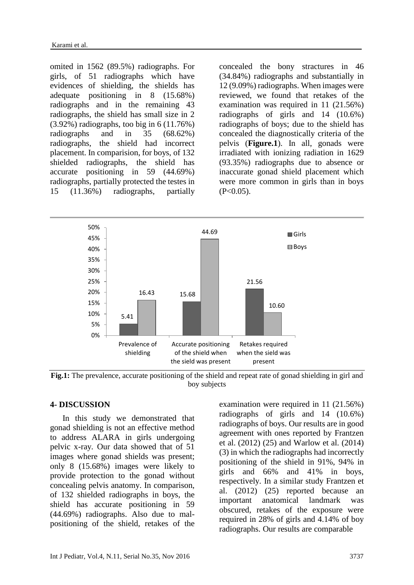omited in 1562 (89.5%) radiographs. For girls, of 51 radiographs which have evidences of shielding, the shields has adequate positioning in 8 (15.68%) radiographs and in the remaining 43 radiographs, the shield has small size in 2 (3.92%) radiographs, too big in 6 (11.76%) radiographs and in 35 (68.62%) radiographs, the shield had incorrect placement. In comparision, for boys, of 132 shielded radiographs, the shield has accurate positioning in 59 (44.69%) radiographs, partially protected the testes in 15 (11.36%) radiographs, partially concealed the bony stractures in 46 (34.84%) radiographs and substantially in 12 (9.09%) radiographs. When images were reviewed, we found that retakes of the examination was required in 11 (21.56%) radiographs of girls and 14 (10.6%) radiographs of boys; due to the shield has concealed the diagnostically criteria of the pelvis (**Figure.1**). In all, gonads were irradiated with ionizing radiation in 1629 (93.35%) radiographs due to absence or inaccurate gonad shield placement which were more common in girls than in boys  $(P<0.05)$ .



**Fig.1:** The prevalence, accurate positioning of the shield and repeat rate of gonad shielding in girl and boy subjects

### **4- DISCUSSION**

 In this study we demonstrated that gonad shielding is not an effective method to address ALARA in girls undergoing pelvic x-ray. Our data showed that of 51 images where gonad shields was present; only 8 (15.68%) images were likely to provide protection to the gonad without concealing pelvis anatomy. In comparison, of 132 shielded radiographs in boys, the shield has accurate positioning in 59 (44.69%) radiographs. Also due to malpositioning of the shield, retakes of the

examination were required in 11 (21.56%) radiographs of girls and 14 (10.6%) radiographs of boys. Our results are in good agreement with ones reported by Frantzen et al. (2012) [\(25\)](#page-5-7) and Warlow et al. (2014) [\(3\)](#page-4-6) in which the radiographs had incorrectly positioning of the shield in 91%, 94% in girls and 66% and 41% in boys, respectively. In a similar study Frantzen et al. (2012) [\(25\)](#page-5-7) reported because an important anatomical landmark was obscured, retakes of the exposure were required in 28% of girls and 4.14% of boy radiographs. Our results are comparable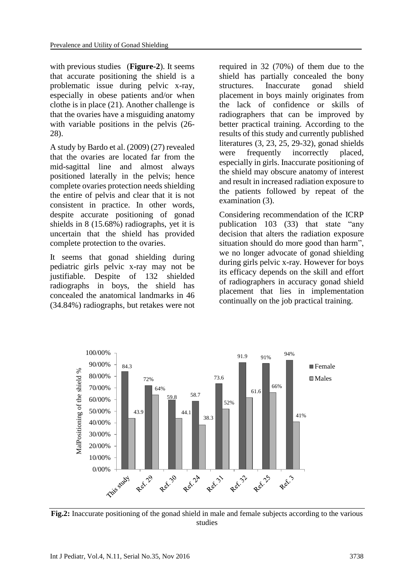with previous studies (**Figure-2**). It seems that accurate positioning the shield is a problematic issue during pelvic x-ray, especially in obese patients and/or when clothe is in place [\(21\)](#page-5-2). Another challenge is that the ovaries have a misguiding anatomy with variable positions in the pelvis [\(26-](#page-5-8) [28\)](#page-5-8).

A study by Bardo et al. (2009) [\(27\)](#page-5-9) revealed that the ovaries are located far from the mid-sagittal line and almost always positioned laterally in the pelvis; hence complete ovaries protection needs shielding the entire of pelvis and clear that it is not consistent in practice. In other words, despite accurate positioning of gonad shields in 8 (15.68%) radiographs, yet it is uncertain that the shield has provided complete protection to the ovaries.

It seems that gonad shielding during pediatric girls pelvic x-ray may not be justifiable. Despite of 132 shielded radiographs in boys, the shield has concealed the anatomical landmarks in 46 (34.84%) radiographs, but retakes were not

required in 32 (70%) of them due to the shield has partially concealed the bony structures. Inaccurate gonad shield placement in boys mainly originates from the lack of confidence or skills of radiographers that can be improved by better practical training. According to the results of this study and currently published literatures [\(3,](#page-4-6) [23,](#page-5-4) [25,](#page-5-7) [29-32\)](#page-5-10), gonad shields were frequently incorrectly placed, especially in girls. Inaccurate positioning of the shield may obscure anatomy of interest and result in increased radiation exposure to the patients followed by repeat of the examination [\(3\)](#page-4-6).

Considering recommendation of the ICRP publication 103 [\(33\)](#page-5-11) that state "any decision that alters the radiation exposure situation should do more good than harm", we no longer advocate of gonad shielding during girls pelvic x-ray. However for boys its efficacy depends on the skill and effort of radiographers in accuracy gonad shield placement that lies in implementation continually on the job practical training.



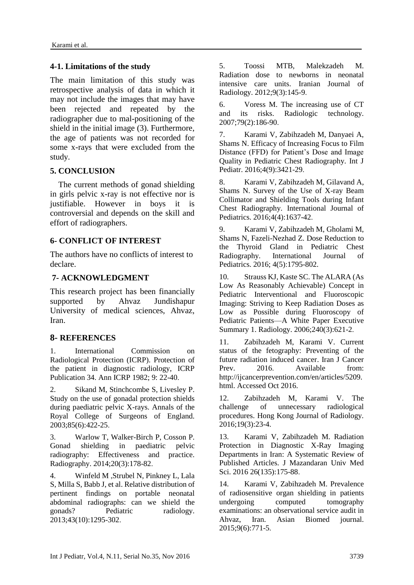# **4-1. Limitations of the study**

The main limitation of this study was retrospective analysis of data in which it may not include the images that may have been rejected and repeated by the radiographer due to mal-positioning of the shield in the initial image [\(3\)](#page-4-6). Furthermore, the age of patients was not recorded for some x-rays that were excluded from the study.

# **5. CONCLUSION**

 The current methods of gonad shielding in girls pelvic x-ray is not effective nor is justifiable. However in boys it is controversial and depends on the skill and effort of radiographers.

# **6- CONFLICT OF INTEREST**

The authors have no conflicts of interest to declare.

# **7- ACKNOWLEDGMENT**

This research project has been financially supported by Ahvaz Jundishapur University of medical sciences, Ahvaz, Iran.

# **8- REFERENCES**

<span id="page-4-0"></span>1. International Commission on Radiological Protection (ICRP). Protection of the patient in diagnostic radiology, ICRP Publication 34. Ann ICRP 1982; 9: 22-40.

<span id="page-4-1"></span>2. Sikand M, Stinchcombe S, Livesley P. Study on the use of gonadal protection shields during paediatric pelvic X-rays. Annals of the Royal College of Surgeons of England. 2003;85(6):422-25.

<span id="page-4-6"></span>3. Warlow T, Walker-Birch P, Cosson P. Gonad shielding in paediatric pelvic radiography: Effectiveness and practice. Radiography. 2014;20(3):178-82.

4. Winfeld M, Strubel N, Pinkney L, Lala S, Milla S, Babb J, et al. Relative distribution of pertinent findings on portable neonatal abdominal radiographs: can we shield the gonads? Pediatric radiology. 2013;43(10):1295-302.

<span id="page-4-2"></span>5. Toossi MTB, Malekzadeh M. Radiation dose to newborns in neonatal intensive care units. Iranian Journal of Radiology. 2012;9(3):145-9.

<span id="page-4-3"></span>6. Voress M. The increasing use of CT and its risks. Radiologic technology. 2007;79(2):186-90.

7. Karami V, Zabihzadeh M, Danyaei A, Shams N. Efficacy of Increasing Focus to Film Distance (FFD) for Patient's Dose and Image Quality in Pediatric Chest Radiography. Int J Pediatr. 2016;4(9):3421-29.

<span id="page-4-4"></span>8. Karami V, Zabihzadeh M, Gilavand A, Shams N. Survey of the Use of X-ray Beam Collimator and Shielding Tools during Infant Chest Radiography. International Journal of Pediatrics. 2016;4(4):1637-42.

9. Karami V, Zabihzadeh M, Gholami M, Shams N, Fazeli-Nezhad Z. Dose Reduction to the Thyroid Gland in Pediatric Chest Radiography. International Journal of Pediatrics. 2016; 4(5):1795-802.

10. Strauss KJ, Kaste SC. The ALARA (As Low As Reasonably Achievable) Concept in Pediatric Interventional and Fluoroscopic Imaging: Striving to Keep Radiation Doses as Low as Possible during Fluoroscopy of Pediatric Patients—A White Paper Executive Summary 1. Radiology. 2006;240(3):621-2.

<span id="page-4-5"></span>11. Zabihzadeh M, Karami V. Current status of the fetography: Preventing of the future radiation induced cancer. Iran J Cancer Prev. 2016. Available from: http://ijcancerprevention.com/en/articles/5209. html. Accessed Oct 2016.

12. Zabihzadeh M, Karami V. The challenge of unnecessary radiological procedures. Hong Kong Journal of Radiology. 2016;19(3):23-4.

13. Karami V, Zabihzadeh M. Radiation Protection in Diagnostic X-Ray Imaging Departments in Iran: A Systematic Review of Published Articles. J Mazandaran Univ Med Sci. 2016 26(135):175-88.

14. Karami V, Zabihzadeh M. Prevalence of radiosensitive organ shielding in patients undergoing computed tomography examinations: an observational service audit in Ahvaz, Iran. Asian Biomed journal. 2015;9(6):771-5.